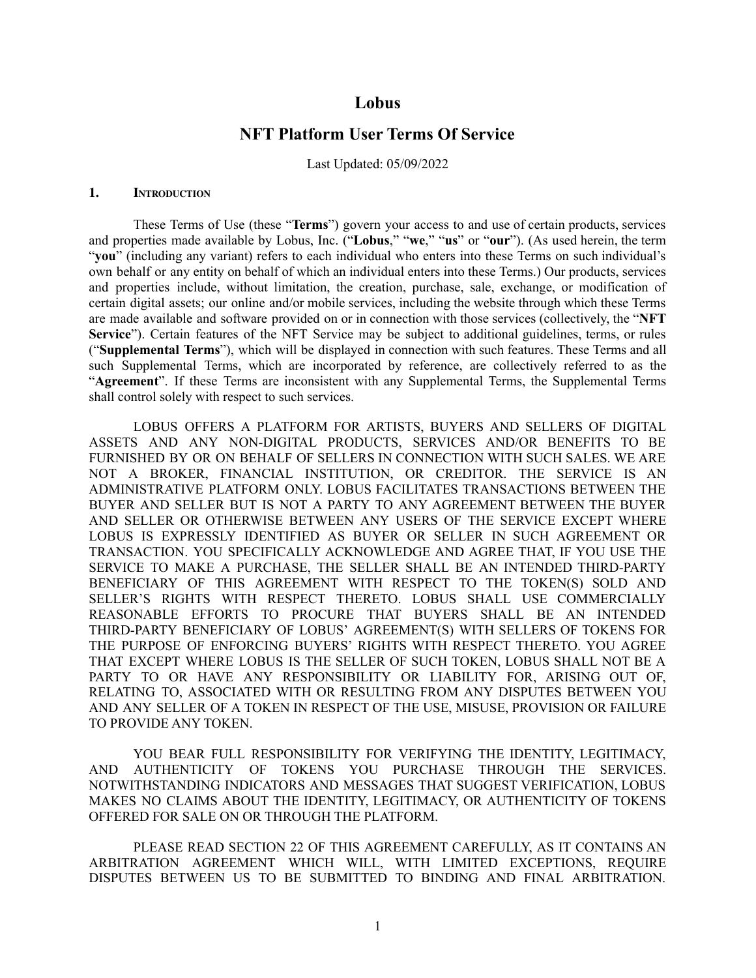# **Lobus**

# **NFT Platform User Terms Of Service**

Last Updated: 05/09/2022

### **1. INTRODUCTION**

These Terms of Use (these "**Terms**") govern your access to and use of certain products, services and properties made available by Lobus, Inc. ("**Lobus**," "**we**," "**us**" or "**our**"). (As used herein, the term "**you**" (including any variant) refers to each individual who enters into these Terms on such individual's own behalf or any entity on behalf of which an individual enters into these Terms.) Our products, services and properties include, without limitation, the creation, purchase, sale, exchange, or modification of certain digital assets; our online and/or mobile services, including the website through which these Terms are made available and software provided on or in connection with those services (collectively, the "**NFT** Service"). Certain features of the NFT Service may be subject to additional guidelines, terms, or rules ("**Supplemental Terms**"), which will be displayed in connection with such features. These Terms and all such Supplemental Terms, which are incorporated by reference, are collectively referred to as the "**Agreement**". If these Terms are inconsistent with any Supplemental Terms, the Supplemental Terms shall control solely with respect to such services.

LOBUS OFFERS A PLATFORM FOR ARTISTS, BUYERS AND SELLERS OF DIGITAL ASSETS AND ANY NON-DIGITAL PRODUCTS, SERVICES AND/OR BENEFITS TO BE FURNISHED BY OR ON BEHALF OF SELLERS IN CONNECTION WITH SUCH SALES. WE ARE NOT A BROKER, FINANCIAL INSTITUTION, OR CREDITOR. THE SERVICE IS AN ADMINISTRATIVE PLATFORM ONLY. LOBUS FACILITATES TRANSACTIONS BETWEEN THE BUYER AND SELLER BUT IS NOT A PARTY TO ANY AGREEMENT BETWEEN THE BUYER AND SELLER OR OTHERWISE BETWEEN ANY USERS OF THE SERVICE EXCEPT WHERE LOBUS IS EXPRESSLY IDENTIFIED AS BUYER OR SELLER IN SUCH AGREEMENT OR TRANSACTION. YOU SPECIFICALLY ACKNOWLEDGE AND AGREE THAT, IF YOU USE THE SERVICE TO MAKE A PURCHASE, THE SELLER SHALL BE AN INTENDED THIRD-PARTY BENEFICIARY OF THIS AGREEMENT WITH RESPECT TO THE TOKEN(S) SOLD AND SELLER'S RIGHTS WITH RESPECT THERETO. LOBUS SHALL USE COMMERCIALLY REASONABLE EFFORTS TO PROCURE THAT BUYERS SHALL BE AN INTENDED THIRD-PARTY BENEFICIARY OF LOBUS' AGREEMENT(S) WITH SELLERS OF TOKENS FOR THE PURPOSE OF ENFORCING BUYERS' RIGHTS WITH RESPECT THERETO. YOU AGREE THAT EXCEPT WHERE LOBUS IS THE SELLER OF SUCH TOKEN, LOBUS SHALL NOT BE A PARTY TO OR HAVE ANY RESPONSIBILITY OR LIABILITY FOR, ARISING OUT OF, RELATING TO, ASSOCIATED WITH OR RESULTING FROM ANY DISPUTES BETWEEN YOU AND ANY SELLER OF A TOKEN IN RESPECT OF THE USE, MISUSE, PROVISION OR FAILURE TO PROVIDE ANY TOKEN.

YOU BEAR FULL RESPONSIBILITY FOR VERIFYING THE IDENTITY, LEGITIMACY, AND AUTHENTICITY OF TOKENS YOU PURCHASE THROUGH THE SERVICES. NOTWITHSTANDING INDICATORS AND MESSAGES THAT SUGGEST VERIFICATION, LOBUS MAKES NO CLAIMS ABOUT THE IDENTITY, LEGITIMACY, OR AUTHENTICITY OF TOKENS OFFERED FOR SALE ON OR THROUGH THE PLATFORM.

PLEASE READ SECTION 22 OF THIS AGREEMENT CAREFULLY, AS IT CONTAINS AN ARBITRATION AGREEMENT WHICH WILL, WITH LIMITED EXCEPTIONS, REQUIRE DISPUTES BETWEEN US TO BE SUBMITTED TO BINDING AND FINAL ARBITRATION.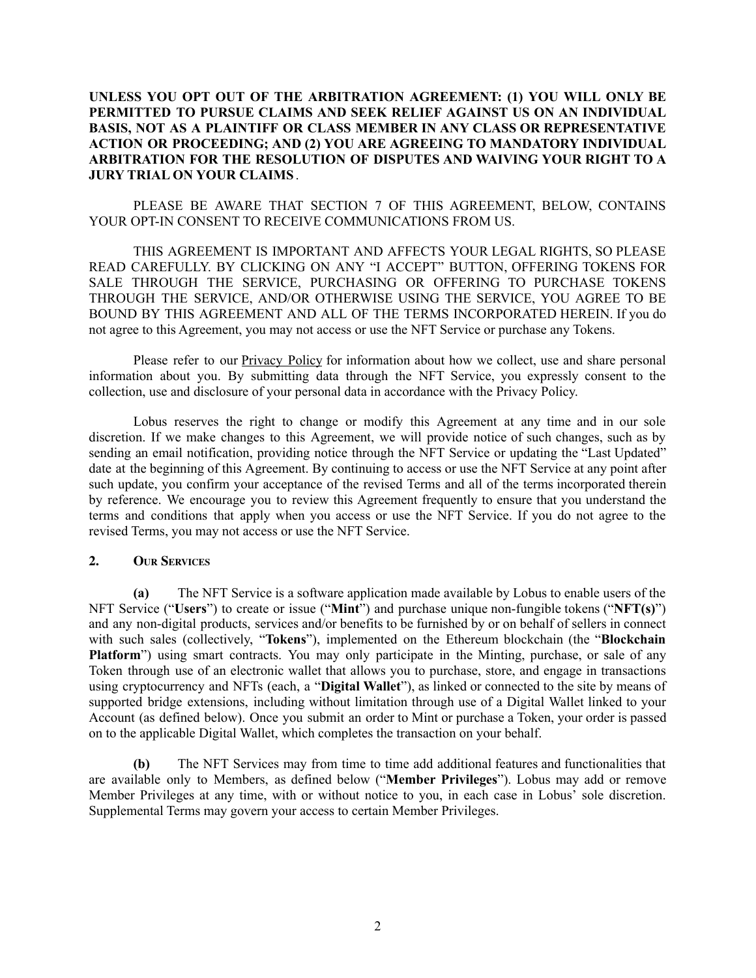# **UNLESS YOU OPT OUT OF THE ARBITRATION AGREEMENT: (1) YOU WILL ONLY BE PERMITTED TO PURSUE CLAIMS AND SEEK RELIEF AGAINST US ON AN INDIVIDUAL BASIS, NOT AS A PLAINTIFF OR CLASS MEMBER IN ANY CLASS OR REPRESENTATIVE ACTION OR PROCEEDING; AND (2) YOU ARE AGREEING TO MANDATORY INDIVIDUAL ARBITRATION FOR THE RESOLUTION OF DISPUTES AND WAIVING YOUR RIGHT TO A JURY TRIAL ON YOUR CLAIMS** .

PLEASE BE AWARE THAT SECTION 7 OF THIS AGREEMENT, BELOW, CONTAINS YOUR OPT-IN CONSENT TO RECEIVE COMMUNICATIONS FROM US.

THIS AGREEMENT IS IMPORTANT AND AFFECTS YOUR LEGAL RIGHTS, SO PLEASE READ CAREFULLY. BY CLICKING ON ANY "I ACCEPT" BUTTON, OFFERING TOKENS FOR SALE THROUGH THE SERVICE, PURCHASING OR OFFERING TO PURCHASE TOKENS THROUGH THE SERVICE, AND/OR OTHERWISE USING THE SERVICE, YOU AGREE TO BE BOUND BY THIS AGREEMENT AND ALL OF THE TERMS INCORPORATED HEREIN. If you do not agree to this Agreement, you may not access or use the NFT Service or purchase any Tokens.

Please refer to our **Privacy Policy** for information about how we collect, use and share personal information about you. By submitting data through the NFT Service, you expressly consent to the collection, use and disclosure of your personal data in accordance with the Privacy Policy.

Lobus reserves the right to change or modify this Agreement at any time and in our sole discretion. If we make changes to this Agreement, we will provide notice of such changes, such as by sending an email notification, providing notice through the NFT Service or updating the "Last Updated" date at the beginning of this Agreement. By continuing to access or use the NFT Service at any point after such update, you confirm your acceptance of the revised Terms and all of the terms incorporated therein by reference. We encourage you to review this Agreement frequently to ensure that you understand the terms and conditions that apply when you access or use the NFT Service. If you do not agree to the revised Terms, you may not access or use the NFT Service.

#### **2. OUR SERVICES**

**(a)** The NFT Service is a software application made available by Lobus to enable users of the NFT Service ("**Users**") to create or issue ("**Mint**") and purchase unique non-fungible tokens ("**NFT(s)**") and any non-digital products, services and/or benefits to be furnished by or on behalf of sellers in connect with such sales (collectively, "**Tokens**"), implemented on the Ethereum blockchain (the "**Blockchain Platform**") using smart contracts. You may only participate in the Minting, purchase, or sale of any Token through use of an electronic wallet that allows you to purchase, store, and engage in transactions using cryptocurrency and NFTs (each, a "**Digital Wallet**"), as linked or connected to the site by means of supported bridge extensions, including without limitation through use of a Digital Wallet linked to your Account (as defined below). Once you submit an order to Mint or purchase a Token, your order is passed on to the applicable Digital Wallet, which completes the transaction on your behalf.

**(b)** The NFT Services may from time to time add additional features and functionalities that are available only to Members, as defined below ("**Member Privileges**"). Lobus may add or remove Member Privileges at any time, with or without notice to you, in each case in Lobus' sole discretion. Supplemental Terms may govern your access to certain Member Privileges.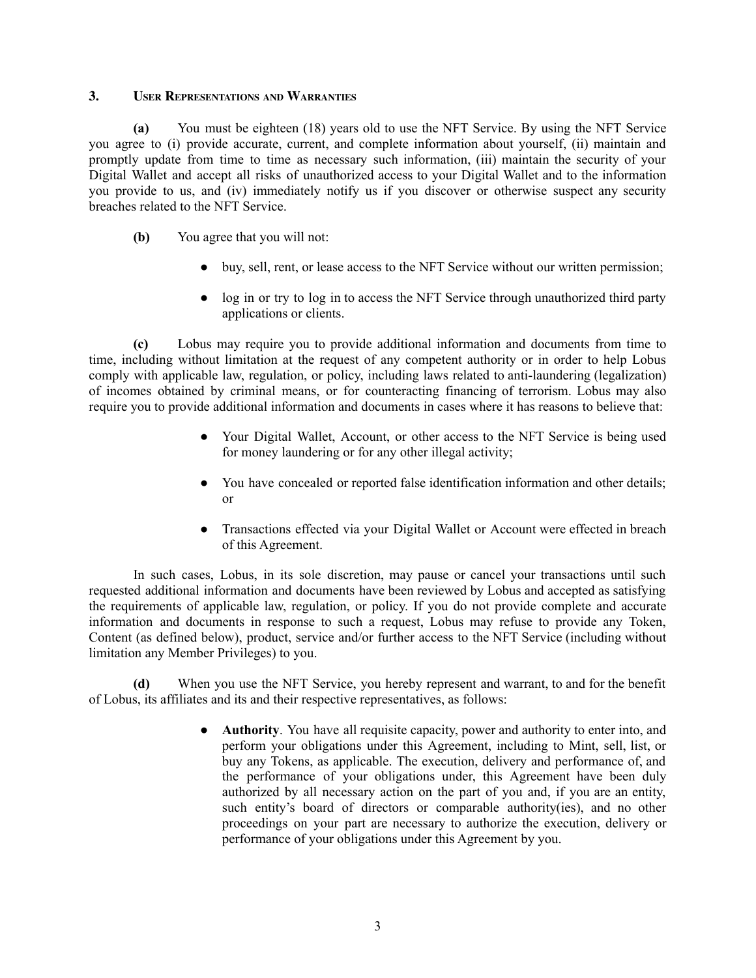### **3. USER REPRESENTATIONS AND WARRANTIES**

**(a)** You must be eighteen (18) years old to use the NFT Service. By using the NFT Service you agree to (i) provide accurate, current, and complete information about yourself, (ii) maintain and promptly update from time to time as necessary such information, (iii) maintain the security of your Digital Wallet and accept all risks of unauthorized access to your Digital Wallet and to the information you provide to us, and (iv) immediately notify us if you discover or otherwise suspect any security breaches related to the NFT Service.

- **(b)** You agree that you will not:
	- buy, sell, rent, or lease access to the NFT Service without our written permission;
	- log in or try to log in to access the NFT Service through unauthorized third party applications or clients.

**(c)** Lobus may require you to provide additional information and documents from time to time, including without limitation at the request of any competent authority or in order to help Lobus comply with applicable law, regulation, or policy, including laws related to anti-laundering (legalization) of incomes obtained by criminal means, or for counteracting financing of terrorism. Lobus may also require you to provide additional information and documents in cases where it has reasons to believe that:

- Your Digital Wallet, Account, or other access to the NFT Service is being used for money laundering or for any other illegal activity;
- You have concealed or reported false identification information and other details; or
- Transactions effected via your Digital Wallet or Account were effected in breach of this Agreement.

In such cases, Lobus, in its sole discretion, may pause or cancel your transactions until such requested additional information and documents have been reviewed by Lobus and accepted as satisfying the requirements of applicable law, regulation, or policy. If you do not provide complete and accurate information and documents in response to such a request, Lobus may refuse to provide any Token, Content (as defined below), product, service and/or further access to the NFT Service (including without limitation any Member Privileges) to you.

**(d)** When you use the NFT Service, you hereby represent and warrant, to and for the benefit of Lobus, its affiliates and its and their respective representatives, as follows:

> ● **Authority**. You have all requisite capacity, power and authority to enter into, and perform your obligations under this Agreement, including to Mint, sell, list, or buy any Tokens, as applicable. The execution, delivery and performance of, and the performance of your obligations under, this Agreement have been duly authorized by all necessary action on the part of you and, if you are an entity, such entity's board of directors or comparable authority(ies), and no other proceedings on your part are necessary to authorize the execution, delivery or performance of your obligations under this Agreement by you.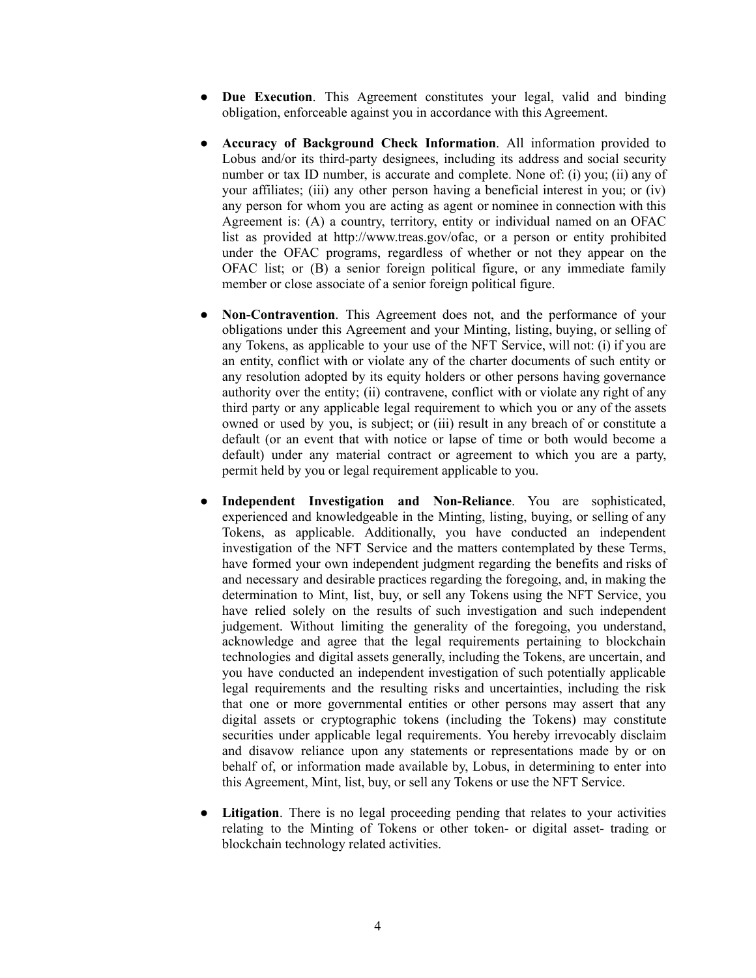- **Due Execution**. This Agreement constitutes your legal, valid and binding obligation, enforceable against you in accordance with this Agreement.
- **Accuracy of Background Check Information**. All information provided to Lobus and/or its third-party designees, including its address and social security number or tax ID number, is accurate and complete. None of: (i) you; (ii) any of your affiliates; (iii) any other person having a beneficial interest in you; or (iv) any person for whom you are acting as agent or nominee in connection with this Agreement is: (A) a country, territory, entity or individual named on an OFAC list as provided at http://www.treas.gov/ofac, or a person or entity prohibited under the OFAC programs, regardless of whether or not they appear on the OFAC list; or (B) a senior foreign political figure, or any immediate family member or close associate of a senior foreign political figure.
- **Non-Contravention**. This Agreement does not, and the performance of your obligations under this Agreement and your Minting, listing, buying, or selling of any Tokens, as applicable to your use of the NFT Service, will not: (i) if you are an entity, conflict with or violate any of the charter documents of such entity or any resolution adopted by its equity holders or other persons having governance authority over the entity; (ii) contravene, conflict with or violate any right of any third party or any applicable legal requirement to which you or any of the assets owned or used by you, is subject; or (iii) result in any breach of or constitute a default (or an event that with notice or lapse of time or both would become a default) under any material contract or agreement to which you are a party, permit held by you or legal requirement applicable to you.
- **Independent Investigation and Non-Reliance**. You are sophisticated, experienced and knowledgeable in the Minting, listing, buying, or selling of any Tokens, as applicable. Additionally, you have conducted an independent investigation of the NFT Service and the matters contemplated by these Terms, have formed your own independent judgment regarding the benefits and risks of and necessary and desirable practices regarding the foregoing, and, in making the determination to Mint, list, buy, or sell any Tokens using the NFT Service, you have relied solely on the results of such investigation and such independent judgement. Without limiting the generality of the foregoing, you understand, acknowledge and agree that the legal requirements pertaining to blockchain technologies and digital assets generally, including the Tokens, are uncertain, and you have conducted an independent investigation of such potentially applicable legal requirements and the resulting risks and uncertainties, including the risk that one or more governmental entities or other persons may assert that any digital assets or cryptographic tokens (including the Tokens) may constitute securities under applicable legal requirements. You hereby irrevocably disclaim and disavow reliance upon any statements or representations made by or on behalf of, or information made available by, Lobus, in determining to enter into this Agreement, Mint, list, buy, or sell any Tokens or use the NFT Service.
- **Litigation**. There is no legal proceeding pending that relates to your activities relating to the Minting of Tokens or other token- or digital asset- trading or blockchain technology related activities.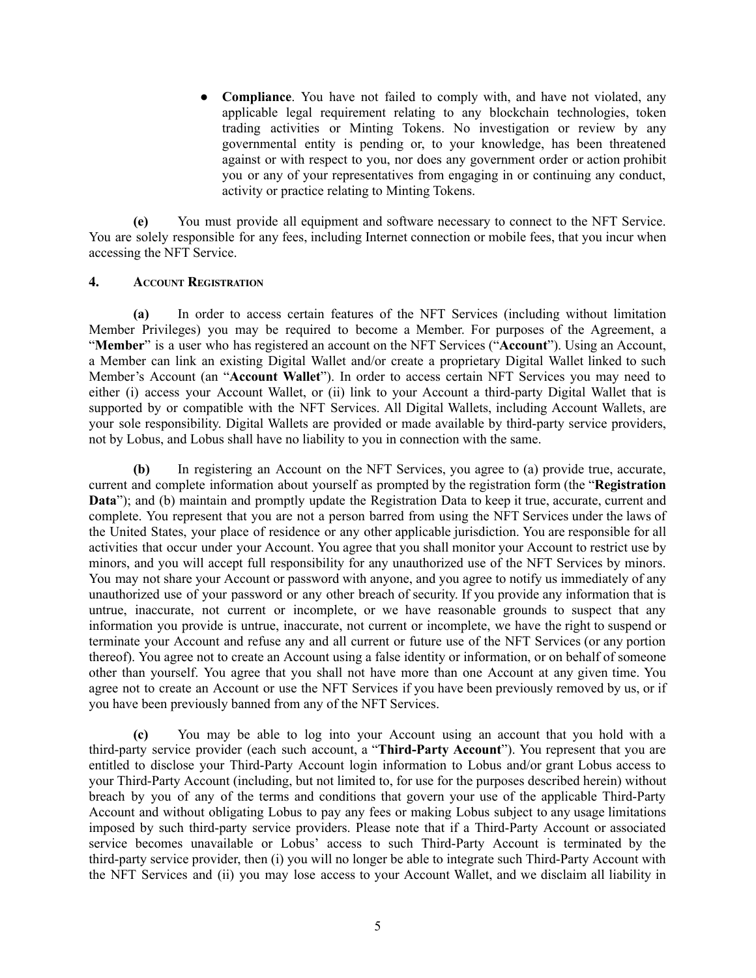● **Compliance**. You have not failed to comply with, and have not violated, any applicable legal requirement relating to any blockchain technologies, token trading activities or Minting Tokens. No investigation or review by any governmental entity is pending or, to your knowledge, has been threatened against or with respect to you, nor does any government order or action prohibit you or any of your representatives from engaging in or continuing any conduct, activity or practice relating to Minting Tokens.

**(e)** You must provide all equipment and software necessary to connect to the NFT Service. You are solely responsible for any fees, including Internet connection or mobile fees, that you incur when accessing the NFT Service.

### **4. ACCOUNT REGISTRATION**

**(a)** In order to access certain features of the NFT Services (including without limitation Member Privileges) you may be required to become a Member. For purposes of the Agreement, a "**Member**" is a user who has registered an account on the NFT Services ("**Account**"). Using an Account, a Member can link an existing Digital Wallet and/or create a proprietary Digital Wallet linked to such Member's Account (an "**Account Wallet**"). In order to access certain NFT Services you may need to either (i) access your Account Wallet, or (ii) link to your Account a third-party Digital Wallet that is supported by or compatible with the NFT Services. All Digital Wallets, including Account Wallets, are your sole responsibility. Digital Wallets are provided or made available by third-party service providers, not by Lobus, and Lobus shall have no liability to you in connection with the same.

**(b)** In registering an Account on the NFT Services, you agree to (a) provide true, accurate, current and complete information about yourself as prompted by the registration form (the "**Registration Data**"); and (b) maintain and promptly update the Registration Data to keep it true, accurate, current and complete. You represent that you are not a person barred from using the NFT Services under the laws of the United States, your place of residence or any other applicable jurisdiction. You are responsible for all activities that occur under your Account. You agree that you shall monitor your Account to restrict use by minors, and you will accept full responsibility for any unauthorized use of the NFT Services by minors. You may not share your Account or password with anyone, and you agree to notify us immediately of any unauthorized use of your password or any other breach of security. If you provide any information that is untrue, inaccurate, not current or incomplete, or we have reasonable grounds to suspect that any information you provide is untrue, inaccurate, not current or incomplete, we have the right to suspend or terminate your Account and refuse any and all current or future use of the NFT Services (or any portion thereof). You agree not to create an Account using a false identity or information, or on behalf of someone other than yourself. You agree that you shall not have more than one Account at any given time. You agree not to create an Account or use the NFT Services if you have been previously removed by us, or if you have been previously banned from any of the NFT Services.

**(c)** You may be able to log into your Account using an account that you hold with a third-party service provider (each such account, a "**Third-Party Account**"). You represent that you are entitled to disclose your Third-Party Account login information to Lobus and/or grant Lobus access to your Third-Party Account (including, but not limited to, for use for the purposes described herein) without breach by you of any of the terms and conditions that govern your use of the applicable Third-Party Account and without obligating Lobus to pay any fees or making Lobus subject to any usage limitations imposed by such third-party service providers. Please note that if a Third-Party Account or associated service becomes unavailable or Lobus' access to such Third-Party Account is terminated by the third-party service provider, then (i) you will no longer be able to integrate such Third-Party Account with the NFT Services and (ii) you may lose access to your Account Wallet, and we disclaim all liability in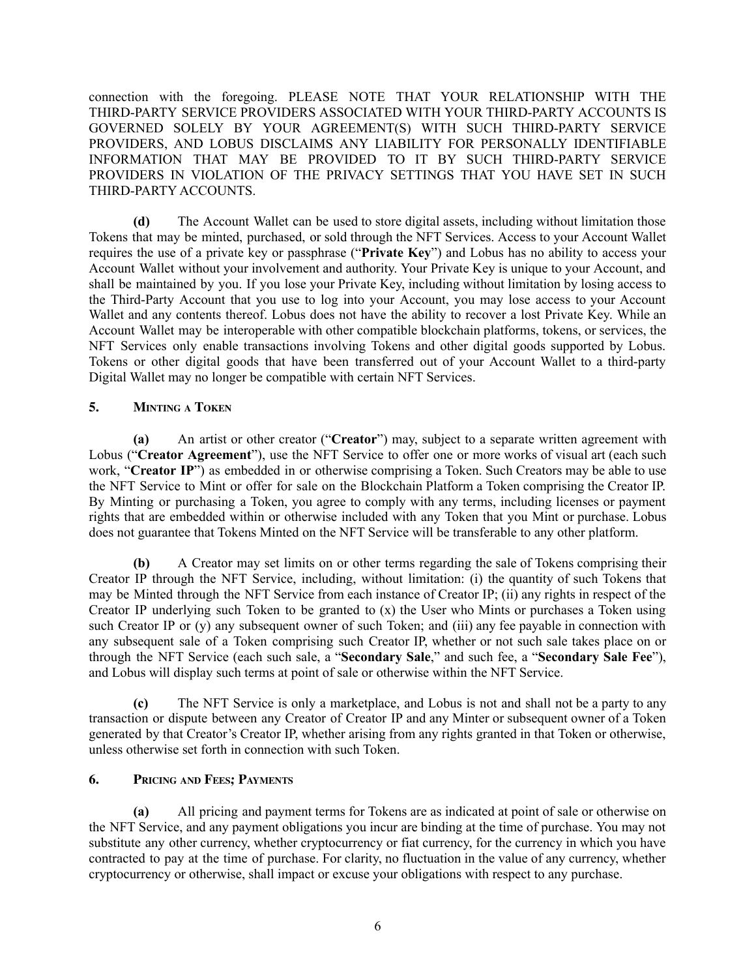connection with the foregoing. PLEASE NOTE THAT YOUR RELATIONSHIP WITH THE THIRD-PARTY SERVICE PROVIDERS ASSOCIATED WITH YOUR THIRD-PARTY ACCOUNTS IS GOVERNED SOLELY BY YOUR AGREEMENT(S) WITH SUCH THIRD-PARTY SERVICE PROVIDERS, AND LOBUS DISCLAIMS ANY LIABILITY FOR PERSONALLY IDENTIFIABLE INFORMATION THAT MAY BE PROVIDED TO IT BY SUCH THIRD-PARTY SERVICE PROVIDERS IN VIOLATION OF THE PRIVACY SETTINGS THAT YOU HAVE SET IN SUCH THIRD-PARTY ACCOUNTS.

**(d)** The Account Wallet can be used to store digital assets, including without limitation those Tokens that may be minted, purchased, or sold through the NFT Services. Access to your Account Wallet requires the use of a private key or passphrase ("**Private Key**") and Lobus has no ability to access your Account Wallet without your involvement and authority. Your Private Key is unique to your Account, and shall be maintained by you. If you lose your Private Key, including without limitation by losing access to the Third-Party Account that you use to log into your Account, you may lose access to your Account Wallet and any contents thereof. Lobus does not have the ability to recover a lost Private Key. While an Account Wallet may be interoperable with other compatible blockchain platforms, tokens, or services, the NFT Services only enable transactions involving Tokens and other digital goods supported by Lobus. Tokens or other digital goods that have been transferred out of your Account Wallet to a third-party Digital Wallet may no longer be compatible with certain NFT Services.

# **5. MINTING <sup>A</sup> TOKEN**

**(a)** An artist or other creator ("**Creator**") may, subject to a separate written agreement with Lobus ("**Creator Agreement**"), use the NFT Service to offer one or more works of visual art (each such work, "**Creator IP**") as embedded in or otherwise comprising a Token. Such Creators may be able to use the NFT Service to Mint or offer for sale on the Blockchain Platform a Token comprising the Creator IP. By Minting or purchasing a Token, you agree to comply with any terms, including licenses or payment rights that are embedded within or otherwise included with any Token that you Mint or purchase. Lobus does not guarantee that Tokens Minted on the NFT Service will be transferable to any other platform.

**(b)** A Creator may set limits on or other terms regarding the sale of Tokens comprising their Creator IP through the NFT Service, including, without limitation: (i) the quantity of such Tokens that may be Minted through the NFT Service from each instance of Creator IP; (ii) any rights in respect of the Creator IP underlying such Token to be granted to  $(x)$  the User who Mints or purchases a Token using such Creator IP or (y) any subsequent owner of such Token; and (iii) any fee payable in connection with any subsequent sale of a Token comprising such Creator IP, whether or not such sale takes place on or through the NFT Service (each such sale, a "**Secondary Sale**," and such fee, a "**Secondary Sale Fee**"), and Lobus will display such terms at point of sale or otherwise within the NFT Service.

**(c)** The NFT Service is only a marketplace, and Lobus is not and shall not be a party to any transaction or dispute between any Creator of Creator IP and any Minter or subsequent owner of a Token generated by that Creator's Creator IP, whether arising from any rights granted in that Token or otherwise, unless otherwise set forth in connection with such Token.

# **6. PRICING AND FEES; PAYMENTS**

**(a)** All pricing and payment terms for Tokens are as indicated at point of sale or otherwise on the NFT Service, and any payment obligations you incur are binding at the time of purchase. You may not substitute any other currency, whether cryptocurrency or fiat currency, for the currency in which you have contracted to pay at the time of purchase. For clarity, no fluctuation in the value of any currency, whether cryptocurrency or otherwise, shall impact or excuse your obligations with respect to any purchase.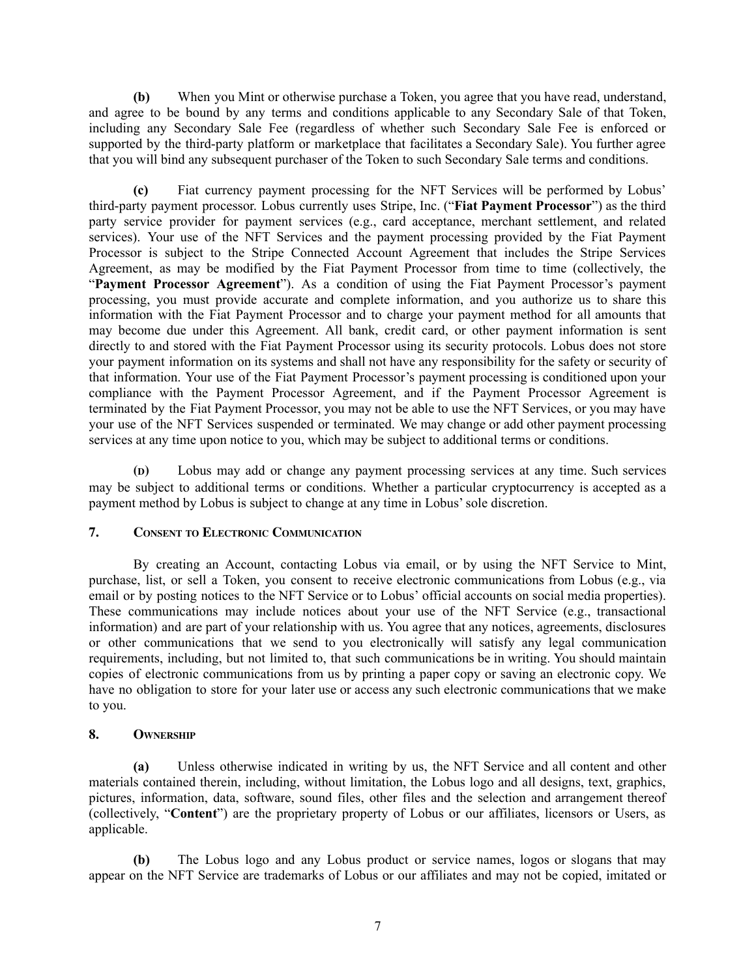**(b)** When you Mint or otherwise purchase a Token, you agree that you have read, understand, and agree to be bound by any terms and conditions applicable to any Secondary Sale of that Token, including any Secondary Sale Fee (regardless of whether such Secondary Sale Fee is enforced or supported by the third-party platform or marketplace that facilitates a Secondary Sale). You further agree that you will bind any subsequent purchaser of the Token to such Secondary Sale terms and conditions.

**(c)** Fiat currency payment processing for the NFT Services will be performed by Lobus' third-party payment processor. Lobus currently uses Stripe, Inc. ("**Fiat Payment Processor**") as the third party service provider for payment services (e.g., card acceptance, merchant settlement, and related services). Your use of the NFT Services and the payment processing provided by the Fiat Payment Processor is subject to the Stripe Connected Account Agreement that includes the Stripe Services Agreement, as may be modified by the Fiat Payment Processor from time to time (collectively, the "**Payment Processor Agreement**"). As a condition of using the Fiat Payment Processor's payment processing, you must provide accurate and complete information, and you authorize us to share this information with the Fiat Payment Processor and to charge your payment method for all amounts that may become due under this Agreement. All bank, credit card, or other payment information is sent directly to and stored with the Fiat Payment Processor using its security protocols. Lobus does not store your payment information on its systems and shall not have any responsibility for the safety or security of that information. Your use of the Fiat Payment Processor's payment processing is conditioned upon your compliance with the Payment Processor Agreement, and if the Payment Processor Agreement is terminated by the Fiat Payment Processor, you may not be able to use the NFT Services, or you may have your use of the NFT Services suspended or terminated. We may change or add other payment processing services at any time upon notice to you, which may be subject to additional terms or conditions.

**(D)** Lobus may add or change any payment processing services at any time. Such services may be subject to additional terms or conditions. Whether a particular cryptocurrency is accepted as a payment method by Lobus is subject to change at any time in Lobus'sole discretion.

# **7. CONSENT TO ELECTRONIC COMMUNICATION**

By creating an Account, contacting Lobus via email, or by using the NFT Service to Mint, purchase, list, or sell a Token, you consent to receive electronic communications from Lobus (e.g., via email or by posting notices to the NFT Service or to Lobus' official accounts on social media properties). These communications may include notices about your use of the NFT Service (e.g., transactional information) and are part of your relationship with us. You agree that any notices, agreements, disclosures or other communications that we send to you electronically will satisfy any legal communication requirements, including, but not limited to, that such communications be in writing. You should maintain copies of electronic communications from us by printing a paper copy or saving an electronic copy. We have no obligation to store for your later use or access any such electronic communications that we make to you.

### **8. OWNERSHIP**

**(a)** Unless otherwise indicated in writing by us, the NFT Service and all content and other materials contained therein, including, without limitation, the Lobus logo and all designs, text, graphics, pictures, information, data, software, sound files, other files and the selection and arrangement thereof (collectively, "**Content**") are the proprietary property of Lobus or our affiliates, licensors or Users, as applicable.

**(b)** The Lobus logo and any Lobus product or service names, logos or slogans that may appear on the NFT Service are trademarks of Lobus or our affiliates and may not be copied, imitated or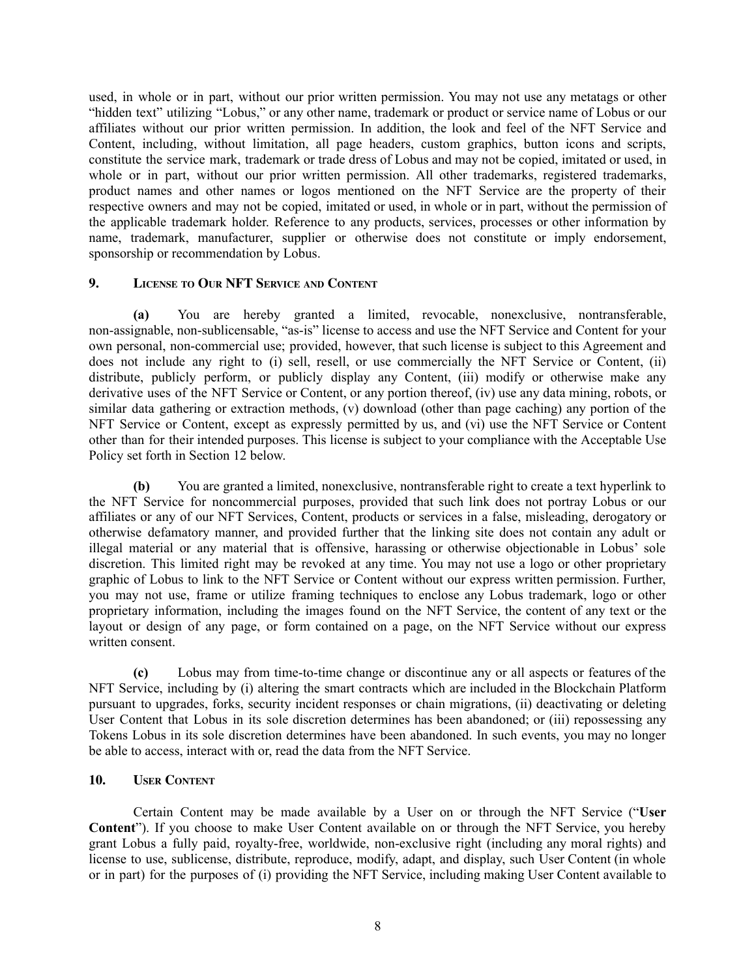used, in whole or in part, without our prior written permission. You may not use any metatags or other "hidden text" utilizing "Lobus," or any other name, trademark or product or service name of Lobus or our affiliates without our prior written permission. In addition, the look and feel of the NFT Service and Content, including, without limitation, all page headers, custom graphics, button icons and scripts, constitute the service mark, trademark or trade dress of Lobus and may not be copied, imitated or used, in whole or in part, without our prior written permission. All other trademarks, registered trademarks, product names and other names or logos mentioned on the NFT Service are the property of their respective owners and may not be copied, imitated or used, in whole or in part, without the permission of the applicable trademark holder. Reference to any products, services, processes or other information by name, trademark, manufacturer, supplier or otherwise does not constitute or imply endorsement, sponsorship or recommendation by Lobus.

### **9. LICENSE TO OUR NFT SERVICE AND CONTENT**

**(a)** You are hereby granted a limited, revocable, nonexclusive, nontransferable, non-assignable, non-sublicensable, "as-is" license to access and use the NFT Service and Content for your own personal, non-commercial use; provided, however, that such license is subject to this Agreement and does not include any right to (i) sell, resell, or use commercially the NFT Service or Content, (ii) distribute, publicly perform, or publicly display any Content, (iii) modify or otherwise make any derivative uses of the NFT Service or Content, or any portion thereof, (iv) use any data mining, robots, or similar data gathering or extraction methods, (v) download (other than page caching) any portion of the NFT Service or Content, except as expressly permitted by us, and (vi) use the NFT Service or Content other than for their intended purposes. This license is subject to your compliance with the Acceptable Use Policy set forth in Section 12 below.

**(b)** You are granted a limited, nonexclusive, nontransferable right to create a text hyperlink to the NFT Service for noncommercial purposes, provided that such link does not portray Lobus or our affiliates or any of our NFT Services, Content, products or services in a false, misleading, derogatory or otherwise defamatory manner, and provided further that the linking site does not contain any adult or illegal material or any material that is offensive, harassing or otherwise objectionable in Lobus' sole discretion. This limited right may be revoked at any time. You may not use a logo or other proprietary graphic of Lobus to link to the NFT Service or Content without our express written permission. Further, you may not use, frame or utilize framing techniques to enclose any Lobus trademark, logo or other proprietary information, including the images found on the NFT Service, the content of any text or the layout or design of any page, or form contained on a page, on the NFT Service without our express written consent.

**(c)** Lobus may from time-to-time change or discontinue any or all aspects or features of the NFT Service, including by (i) altering the smart contracts which are included in the Blockchain Platform pursuant to upgrades, forks, security incident responses or chain migrations, (ii) deactivating or deleting User Content that Lobus in its sole discretion determines has been abandoned; or (iii) repossessing any Tokens Lobus in its sole discretion determines have been abandoned. In such events, you may no longer be able to access, interact with or, read the data from the NFT Service.

# **10. USER CONTENT**

Certain Content may be made available by a User on or through the NFT Service ("**User Content**"). If you choose to make User Content available on or through the NFT Service, you hereby grant Lobus a fully paid, royalty-free, worldwide, non-exclusive right (including any moral rights) and license to use, sublicense, distribute, reproduce, modify, adapt, and display, such User Content (in whole or in part) for the purposes of (i) providing the NFT Service, including making User Content available to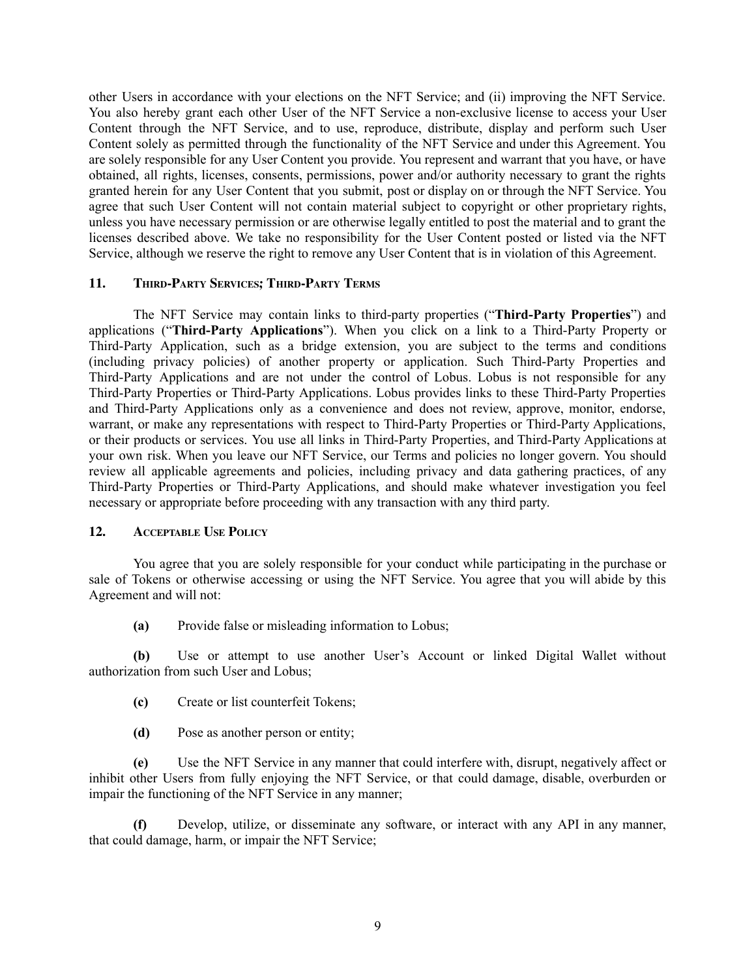other Users in accordance with your elections on the NFT Service; and (ii) improving the NFT Service. You also hereby grant each other User of the NFT Service a non-exclusive license to access your User Content through the NFT Service, and to use, reproduce, distribute, display and perform such User Content solely as permitted through the functionality of the NFT Service and under this Agreement. You are solely responsible for any User Content you provide. You represent and warrant that you have, or have obtained, all rights, licenses, consents, permissions, power and/or authority necessary to grant the rights granted herein for any User Content that you submit, post or display on or through the NFT Service. You agree that such User Content will not contain material subject to copyright or other proprietary rights, unless you have necessary permission or are otherwise legally entitled to post the material and to grant the licenses described above. We take no responsibility for the User Content posted or listed via the NFT Service, although we reserve the right to remove any User Content that is in violation of this Agreement.

### **11. THIRD-PARTY SERVICES; THIRD-PARTY TERMS**

The NFT Service may contain links to third-party properties ("**Third-Party Properties**") and applications ("**Third-Party Applications**"). When you click on a link to a Third-Party Property or Third-Party Application, such as a bridge extension, you are subject to the terms and conditions (including privacy policies) of another property or application. Such Third-Party Properties and Third-Party Applications and are not under the control of Lobus. Lobus is not responsible for any Third-Party Properties or Third-Party Applications. Lobus provides links to these Third-Party Properties and Third-Party Applications only as a convenience and does not review, approve, monitor, endorse, warrant, or make any representations with respect to Third-Party Properties or Third-Party Applications, or their products or services. You use all links in Third-Party Properties, and Third-Party Applications at your own risk. When you leave our NFT Service, our Terms and policies no longer govern. You should review all applicable agreements and policies, including privacy and data gathering practices, of any Third-Party Properties or Third-Party Applications, and should make whatever investigation you feel necessary or appropriate before proceeding with any transaction with any third party.

#### **12. ACCEPTABLE USE POLICY**

You agree that you are solely responsible for your conduct while participating in the purchase or sale of Tokens or otherwise accessing or using the NFT Service. You agree that you will abide by this Agreement and will not:

**(a)** Provide false or misleading information to Lobus;

**(b)** Use or attempt to use another User's Account or linked Digital Wallet without authorization from such User and Lobus;

- **(c)** Create or list counterfeit Tokens;
- **(d)** Pose as another person or entity;

**(e)** Use the NFT Service in any manner that could interfere with, disrupt, negatively affect or inhibit other Users from fully enjoying the NFT Service, or that could damage, disable, overburden or impair the functioning of the NFT Service in any manner;

**(f)** Develop, utilize, or disseminate any software, or interact with any API in any manner, that could damage, harm, or impair the NFT Service;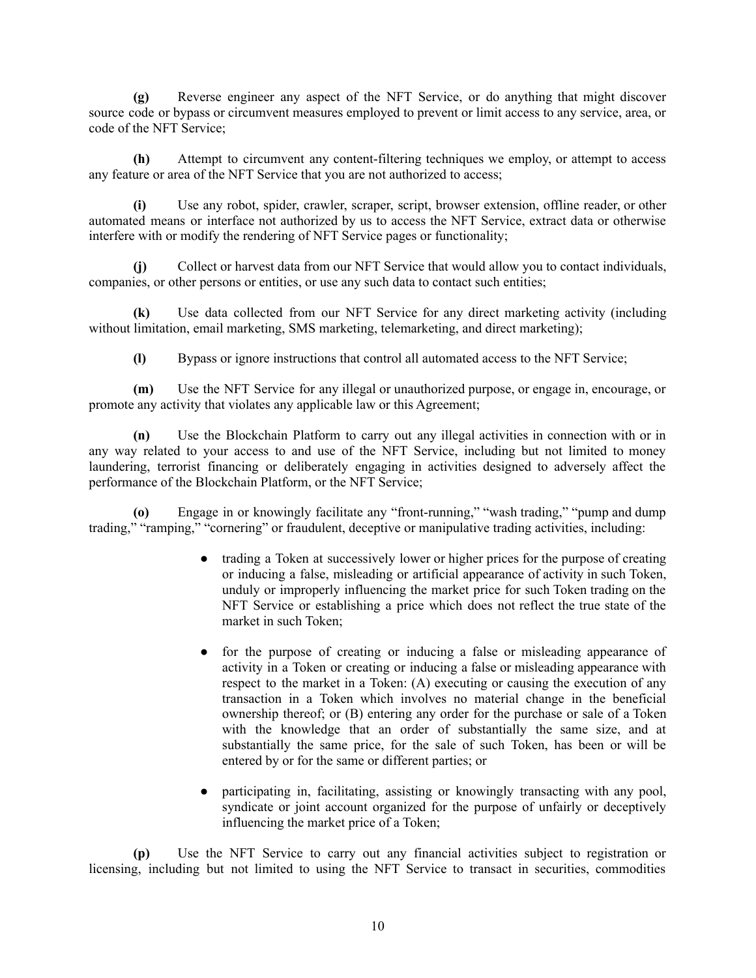**(g)** Reverse engineer any aspect of the NFT Service, or do anything that might discover source code or bypass or circumvent measures employed to prevent or limit access to any service, area, or code of the NFT Service;

**(h)** Attempt to circumvent any content-filtering techniques we employ, or attempt to access any feature or area of the NFT Service that you are not authorized to access;

**(i)** Use any robot, spider, crawler, scraper, script, browser extension, offline reader, or other automated means or interface not authorized by us to access the NFT Service, extract data or otherwise interfere with or modify the rendering of NFT Service pages or functionality;

**(j)** Collect or harvest data from our NFT Service that would allow you to contact individuals, companies, or other persons or entities, or use any such data to contact such entities;

**(k)** Use data collected from our NFT Service for any direct marketing activity (including without limitation, email marketing, SMS marketing, telemarketing, and direct marketing);

**(l)** Bypass or ignore instructions that control all automated access to the NFT Service;

**(m)** Use the NFT Service for any illegal or unauthorized purpose, or engage in, encourage, or promote any activity that violates any applicable law or this Agreement;

**(n)** Use the Blockchain Platform to carry out any illegal activities in connection with or in any way related to your access to and use of the NFT Service, including but not limited to money laundering, terrorist financing or deliberately engaging in activities designed to adversely affect the performance of the Blockchain Platform, or the NFT Service;

**(o)** Engage in or knowingly facilitate any "front-running," "wash trading," "pump and dump trading," "ramping," "cornering" or fraudulent, deceptive or manipulative trading activities, including:

- trading a Token at successively lower or higher prices for the purpose of creating or inducing a false, misleading or artificial appearance of activity in such Token, unduly or improperly influencing the market price for such Token trading on the NFT Service or establishing a price which does not reflect the true state of the market in such Token;
- for the purpose of creating or inducing a false or misleading appearance of activity in a Token or creating or inducing a false or misleading appearance with respect to the market in a Token: (A) executing or causing the execution of any transaction in a Token which involves no material change in the beneficial ownership thereof; or (B) entering any order for the purchase or sale of a Token with the knowledge that an order of substantially the same size, and at substantially the same price, for the sale of such Token, has been or will be entered by or for the same or different parties; or
- participating in, facilitating, assisting or knowingly transacting with any pool, syndicate or joint account organized for the purpose of unfairly or deceptively influencing the market price of a Token;

**(p)** Use the NFT Service to carry out any financial activities subject to registration or licensing, including but not limited to using the NFT Service to transact in securities, commodities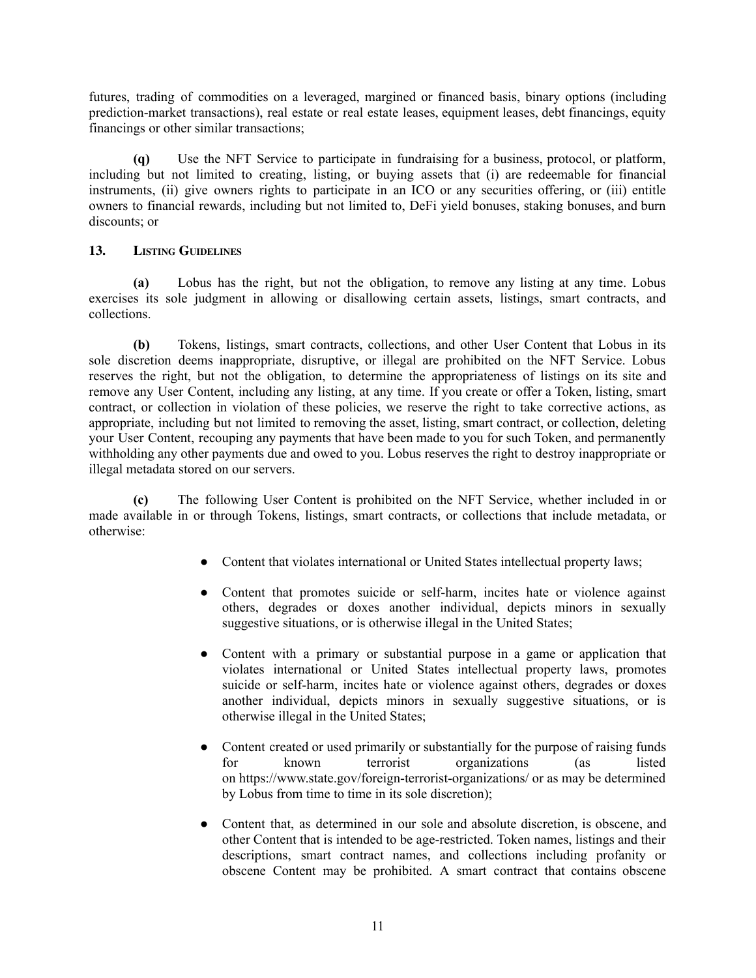futures, trading of commodities on a leveraged, margined or financed basis, binary options (including prediction-market transactions), real estate or real estate leases, equipment leases, debt financings, equity financings or other similar transactions;

**(q)** Use the NFT Service to participate in fundraising for a business, protocol, or platform, including but not limited to creating, listing, or buying assets that (i) are redeemable for financial instruments, (ii) give owners rights to participate in an ICO or any securities offering, or (iii) entitle owners to financial rewards, including but not limited to, DeFi yield bonuses, staking bonuses, and burn discounts; or

# **13. LISTING GUIDELINES**

**(a)** Lobus has the right, but not the obligation, to remove any listing at any time. Lobus exercises its sole judgment in allowing or disallowing certain assets, listings, smart contracts, and collections.

**(b)** Tokens, listings, smart contracts, collections, and other User Content that Lobus in its sole discretion deems inappropriate, disruptive, or illegal are prohibited on the NFT Service. Lobus reserves the right, but not the obligation, to determine the appropriateness of listings on its site and remove any User Content, including any listing, at any time. If you create or offer a Token, listing, smart contract, or collection in violation of these policies, we reserve the right to take corrective actions, as appropriate, including but not limited to removing the asset, listing, smart contract, or collection, deleting your User Content, recouping any payments that have been made to you for such Token, and permanently withholding any other payments due and owed to you. Lobus reserves the right to destroy inappropriate or illegal metadata stored on our servers.

**(c)** The following User Content is prohibited on the NFT Service, whether included in or made available in or through Tokens, listings, smart contracts, or collections that include metadata, or otherwise:

- Content that violates international or United States intellectual property laws;
- Content that promotes suicide or self-harm, incites hate or violence against others, degrades or doxes another individual, depicts minors in sexually suggestive situations, or is otherwise illegal in the United States;
- Content with a primary or substantial purpose in a game or application that violates international or United States intellectual property laws, promotes suicide or self-harm, incites hate or violence against others, degrades or doxes another individual, depicts minors in sexually suggestive situations, or is otherwise illegal in the United States;
- Content created or used primarily or substantially for the purpose of raising funds for known terrorist organizations (as listed on <https://www.state.gov/foreign-terrorist-organizations/> or as may be determined by Lobus from time to time in its sole discretion);
- Content that, as determined in our sole and absolute discretion, is obscene, and other Content that is intended to be age-restricted. Token names, listings and their descriptions, smart contract names, and collections including profanity or obscene Content may be prohibited. A smart contract that contains obscene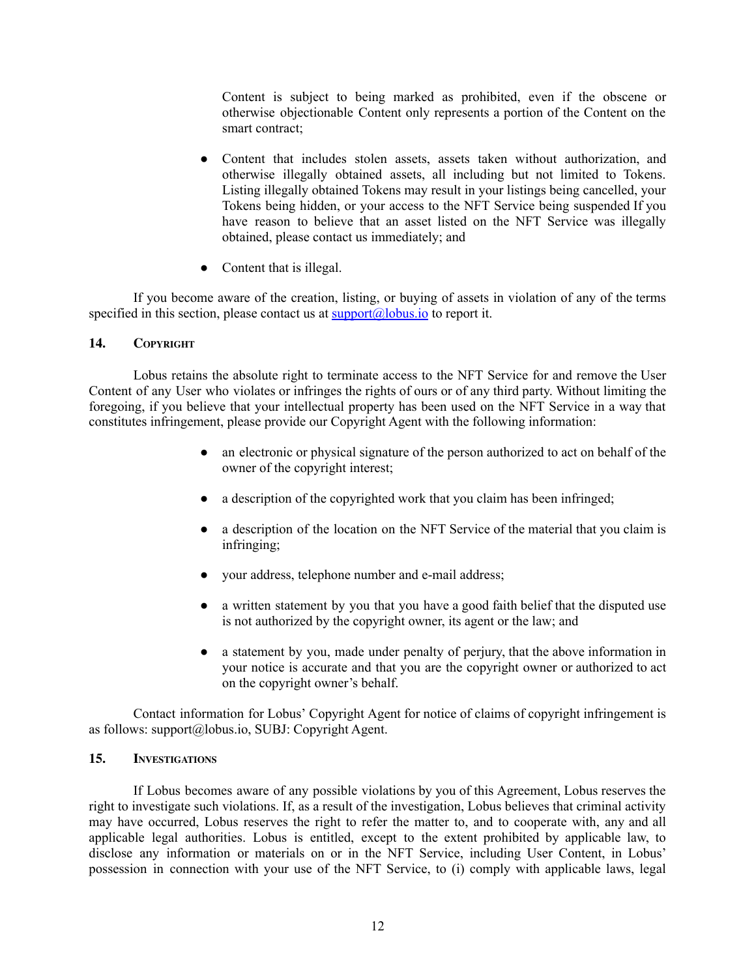Content is subject to being marked as prohibited, even if the obscene or otherwise objectionable Content only represents a portion of the Content on the smart contract;

- Content that includes stolen assets, assets taken without authorization, and otherwise illegally obtained assets, all including but not limited to Tokens. Listing illegally obtained Tokens may result in your listings being cancelled, your Tokens being hidden, or your access to the NFT Service being suspended If you have reason to believe that an asset listed on the NFT Service was illegally obtained, please contact us immediately; and
- Content that is illegal.

If you become aware of the creation, listing, or buying of assets in violation of any of the terms specified in this section, please contact us at  $\frac{\text{support}(a)}{\text{plots}}$  to report it.

# **14. COPYRIGHT**

Lobus retains the absolute right to terminate access to the NFT Service for and remove the User Content of any User who violates or infringes the rights of ours or of any third party. Without limiting the foregoing, if you believe that your intellectual property has been used on the NFT Service in a way that constitutes infringement, please provide our Copyright Agent with the following information:

- an electronic or physical signature of the person authorized to act on behalf of the owner of the copyright interest;
- a description of the copyrighted work that you claim has been infringed;
- a description of the location on the NFT Service of the material that you claim is infringing;
- your address, telephone number and e-mail address;
- a written statement by you that you have a good faith belief that the disputed use is not authorized by the copyright owner, its agent or the law; and
- a statement by you, made under penalty of perjury, that the above information in your notice is accurate and that you are the copyright owner or authorized to act on the copyright owner's behalf.

Contact information for Lobus' Copyright Agent for notice of claims of copyright infringement is as follows: support@lobus.io, SUBJ: Copyright Agent.

#### **15. INVESTIGATIONS**

If Lobus becomes aware of any possible violations by you of this Agreement, Lobus reserves the right to investigate such violations. If, as a result of the investigation, Lobus believes that criminal activity may have occurred, Lobus reserves the right to refer the matter to, and to cooperate with, any and all applicable legal authorities. Lobus is entitled, except to the extent prohibited by applicable law, to disclose any information or materials on or in the NFT Service, including User Content, in Lobus' possession in connection with your use of the NFT Service, to (i) comply with applicable laws, legal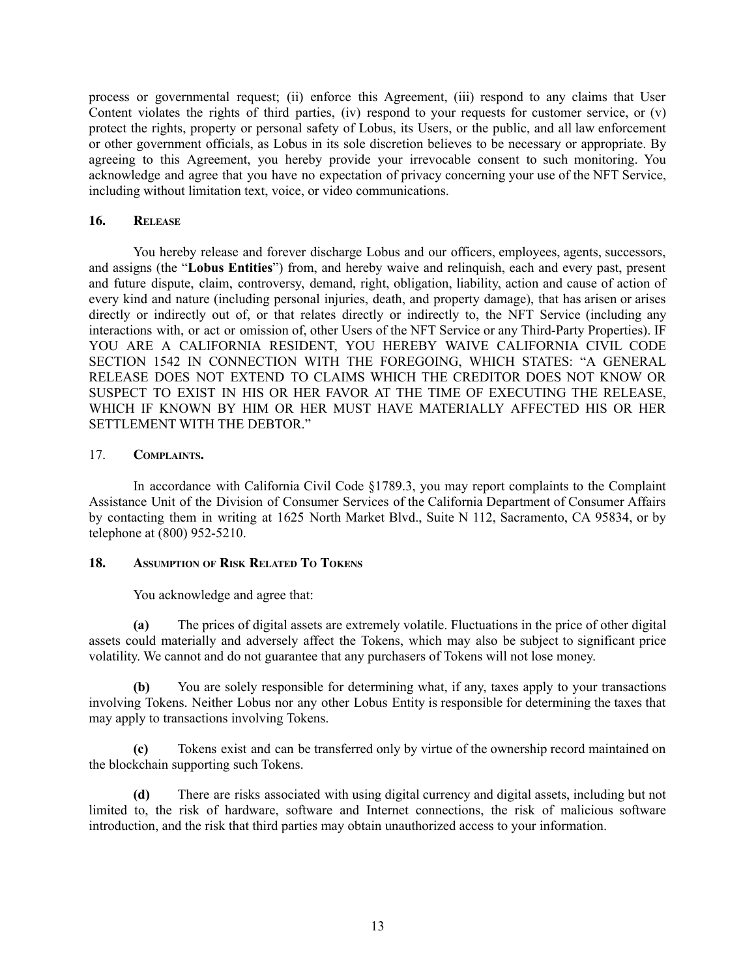process or governmental request; (ii) enforce this Agreement, (iii) respond to any claims that User Content violates the rights of third parties, (iv) respond to your requests for customer service, or (v) protect the rights, property or personal safety of Lobus, its Users, or the public, and all law enforcement or other government officials, as Lobus in its sole discretion believes to be necessary or appropriate. By agreeing to this Agreement, you hereby provide your irrevocable consent to such monitoring. You acknowledge and agree that you have no expectation of privacy concerning your use of the NFT Service, including without limitation text, voice, or video communications.

### **16. RELEASE**

You hereby release and forever discharge Lobus and our officers, employees, agents, successors, and assigns (the "**Lobus Entities**") from, and hereby waive and relinquish, each and every past, present and future dispute, claim, controversy, demand, right, obligation, liability, action and cause of action of every kind and nature (including personal injuries, death, and property damage), that has arisen or arises directly or indirectly out of, or that relates directly or indirectly to, the NFT Service (including any interactions with, or act or omission of, other Users of the NFT Service or any Third-Party Properties). IF YOU ARE A CALIFORNIA RESIDENT, YOU HEREBY WAIVE CALIFORNIA CIVIL CODE SECTION 1542 IN CONNECTION WITH THE FOREGOING, WHICH STATES: "A GENERAL RELEASE DOES NOT EXTEND TO CLAIMS WHICH THE CREDITOR DOES NOT KNOW OR SUSPECT TO EXIST IN HIS OR HER FAVOR AT THE TIME OF EXECUTING THE RELEASE, WHICH IF KNOWN BY HIM OR HER MUST HAVE MATERIALLY AFFECTED HIS OR HER SETTLEMENT WITH THE DEBTOR "

### 17. **COMPLAINTS.**

In accordance with California Civil Code §1789.3, you may report complaints to the Complaint Assistance Unit of the Division of Consumer Services of the California Department of Consumer Affairs by contacting them in writing at 1625 North Market Blvd., Suite N 112, Sacramento, CA 95834, or by telephone at (800) 952-5210.

# **18. ASSUMPTION OF RISK RELATED T<sup>O</sup> TOKENS**

You acknowledge and agree that:

**(a)** The prices of digital assets are extremely volatile. Fluctuations in the price of other digital assets could materially and adversely affect the Tokens, which may also be subject to significant price volatility. We cannot and do not guarantee that any purchasers of Tokens will not lose money.

**(b)** You are solely responsible for determining what, if any, taxes apply to your transactions involving Tokens. Neither Lobus nor any other Lobus Entity is responsible for determining the taxes that may apply to transactions involving Tokens.

**(c)** Tokens exist and can be transferred only by virtue of the ownership record maintained on the blockchain supporting such Tokens.

**(d)** There are risks associated with using digital currency and digital assets, including but not limited to, the risk of hardware, software and Internet connections, the risk of malicious software introduction, and the risk that third parties may obtain unauthorized access to your information.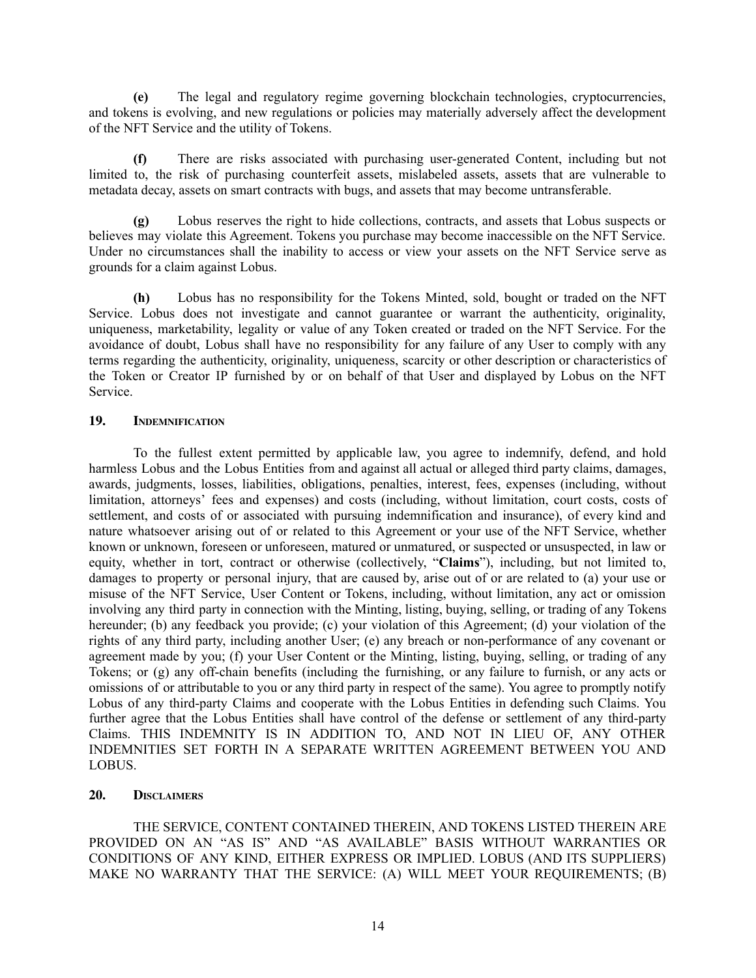**(e)** The legal and regulatory regime governing blockchain technologies, cryptocurrencies, and tokens is evolving, and new regulations or policies may materially adversely affect the development of the NFT Service and the utility of Tokens.

**(f)** There are risks associated with purchasing user-generated Content, including but not limited to, the risk of purchasing counterfeit assets, mislabeled assets, assets that are vulnerable to metadata decay, assets on smart contracts with bugs, and assets that may become untransferable.

**(g)** Lobus reserves the right to hide collections, contracts, and assets that Lobus suspects or believes may violate this Agreement. Tokens you purchase may become inaccessible on the NFT Service. Under no circumstances shall the inability to access or view your assets on the NFT Service serve as grounds for a claim against Lobus.

**(h)** Lobus has no responsibility for the Tokens Minted, sold, bought or traded on the NFT Service. Lobus does not investigate and cannot guarantee or warrant the authenticity, originality, uniqueness, marketability, legality or value of any Token created or traded on the NFT Service. For the avoidance of doubt, Lobus shall have no responsibility for any failure of any User to comply with any terms regarding the authenticity, originality, uniqueness, scarcity or other description or characteristics of the Token or Creator IP furnished by or on behalf of that User and displayed by Lobus on the NFT Service.

# **19. INDEMNIFICATION**

To the fullest extent permitted by applicable law, you agree to indemnify, defend, and hold harmless Lobus and the Lobus Entities from and against all actual or alleged third party claims, damages, awards, judgments, losses, liabilities, obligations, penalties, interest, fees, expenses (including, without limitation, attorneys' fees and expenses) and costs (including, without limitation, court costs, costs of settlement, and costs of or associated with pursuing indemnification and insurance), of every kind and nature whatsoever arising out of or related to this Agreement or your use of the NFT Service, whether known or unknown, foreseen or unforeseen, matured or unmatured, or suspected or unsuspected, in law or equity, whether in tort, contract or otherwise (collectively, "**Claims**"), including, but not limited to, damages to property or personal injury, that are caused by, arise out of or are related to (a) your use or misuse of the NFT Service, User Content or Tokens, including, without limitation, any act or omission involving any third party in connection with the Minting, listing, buying, selling, or trading of any Tokens hereunder; (b) any feedback you provide; (c) your violation of this Agreement; (d) your violation of the rights of any third party, including another User; (e) any breach or non-performance of any covenant or agreement made by you; (f) your User Content or the Minting, listing, buying, selling, or trading of any Tokens; or (g) any off-chain benefits (including the furnishing, or any failure to furnish, or any acts or omissions of or attributable to you or any third party in respect of the same). You agree to promptly notify Lobus of any third-party Claims and cooperate with the Lobus Entities in defending such Claims. You further agree that the Lobus Entities shall have control of the defense or settlement of any third-party Claims. THIS INDEMNITY IS IN ADDITION TO, AND NOT IN LIEU OF, ANY OTHER INDEMNITIES SET FORTH IN A SEPARATE WRITTEN AGREEMENT BETWEEN YOU AND LOBUS.

# **20. DISCLAIMERS**

THE SERVICE, CONTENT CONTAINED THEREIN, AND TOKENS LISTED THEREIN ARE PROVIDED ON AN "AS IS" AND "AS AVAILABLE" BASIS WITHOUT WARRANTIES OR CONDITIONS OF ANY KIND, EITHER EXPRESS OR IMPLIED. LOBUS (AND ITS SUPPLIERS) MAKE NO WARRANTY THAT THE SERVICE: (A) WILL MEET YOUR REQUIREMENTS; (B)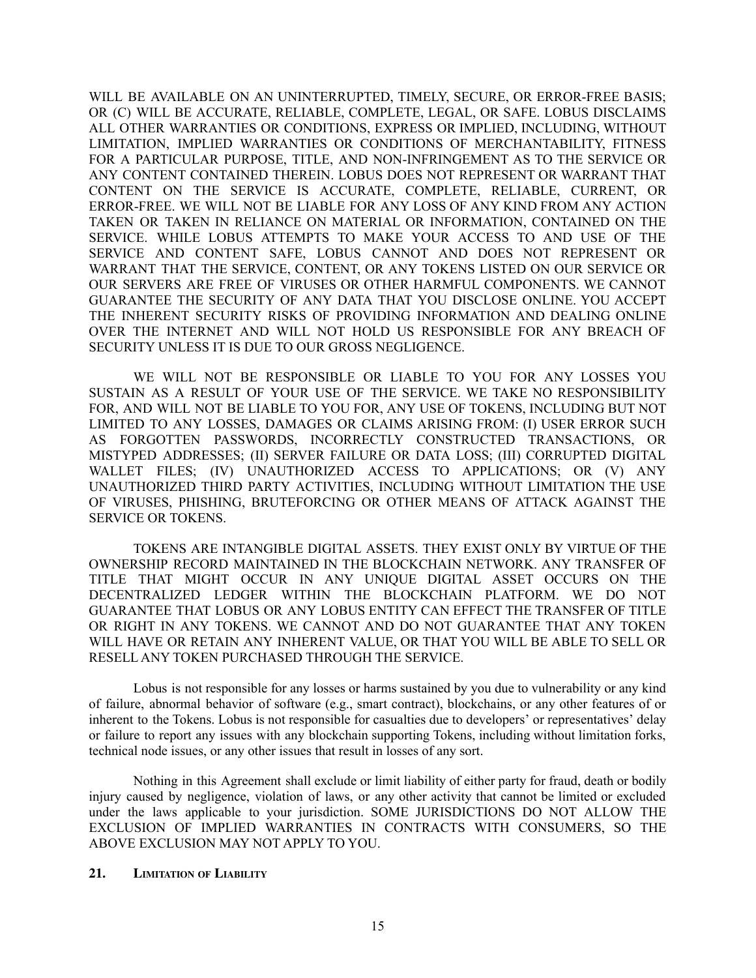WILL BE AVAILABLE ON AN UNINTERRUPTED, TIMELY, SECURE, OR ERROR-FREE BASIS; OR (C) WILL BE ACCURATE, RELIABLE, COMPLETE, LEGAL, OR SAFE. LOBUS DISCLAIMS ALL OTHER WARRANTIES OR CONDITIONS, EXPRESS OR IMPLIED, INCLUDING, WITHOUT LIMITATION, IMPLIED WARRANTIES OR CONDITIONS OF MERCHANTABILITY, FITNESS FOR A PARTICULAR PURPOSE, TITLE, AND NON-INFRINGEMENT AS TO THE SERVICE OR ANY CONTENT CONTAINED THEREIN. LOBUS DOES NOT REPRESENT OR WARRANT THAT CONTENT ON THE SERVICE IS ACCURATE, COMPLETE, RELIABLE, CURRENT, OR ERROR-FREE. WE WILL NOT BE LIABLE FOR ANY LOSS OF ANY KIND FROM ANY ACTION TAKEN OR TAKEN IN RELIANCE ON MATERIAL OR INFORMATION, CONTAINED ON THE SERVICE. WHILE LOBUS ATTEMPTS TO MAKE YOUR ACCESS TO AND USE OF THE SERVICE AND CONTENT SAFE, LOBUS CANNOT AND DOES NOT REPRESENT OR WARRANT THAT THE SERVICE, CONTENT, OR ANY TOKENS LISTED ON OUR SERVICE OR OUR SERVERS ARE FREE OF VIRUSES OR OTHER HARMFUL COMPONENTS. WE CANNOT GUARANTEE THE SECURITY OF ANY DATA THAT YOU DISCLOSE ONLINE. YOU ACCEPT THE INHERENT SECURITY RISKS OF PROVIDING INFORMATION AND DEALING ONLINE OVER THE INTERNET AND WILL NOT HOLD US RESPONSIBLE FOR ANY BREACH OF SECURITY UNLESS IT IS DUE TO OUR GROSS NEGLIGENCE.

WE WILL NOT BE RESPONSIBLE OR LIABLE TO YOU FOR ANY LOSSES YOU SUSTAIN AS A RESULT OF YOUR USE OF THE SERVICE. WE TAKE NO RESPONSIBILITY FOR, AND WILL NOT BE LIABLE TO YOU FOR, ANY USE OF TOKENS, INCLUDING BUT NOT LIMITED TO ANY LOSSES, DAMAGES OR CLAIMS ARISING FROM: (I) USER ERROR SUCH AS FORGOTTEN PASSWORDS, INCORRECTLY CONSTRUCTED TRANSACTIONS, OR MISTYPED ADDRESSES; (II) SERVER FAILURE OR DATA LOSS; (III) CORRUPTED DIGITAL WALLET FILES; (IV) UNAUTHORIZED ACCESS TO APPLICATIONS; OR (V) ANY UNAUTHORIZED THIRD PARTY ACTIVITIES, INCLUDING WITHOUT LIMITATION THE USE OF VIRUSES, PHISHING, BRUTEFORCING OR OTHER MEANS OF ATTACK AGAINST THE SERVICE OR TOKENS.

TOKENS ARE INTANGIBLE DIGITAL ASSETS. THEY EXIST ONLY BY VIRTUE OF THE OWNERSHIP RECORD MAINTAINED IN THE BLOCKCHAIN NETWORK. ANY TRANSFER OF TITLE THAT MIGHT OCCUR IN ANY UNIQUE DIGITAL ASSET OCCURS ON THE DECENTRALIZED LEDGER WITHIN THE BLOCKCHAIN PLATFORM. WE DO NOT GUARANTEE THAT LOBUS OR ANY LOBUS ENTITY CAN EFFECT THE TRANSFER OF TITLE OR RIGHT IN ANY TOKENS. WE CANNOT AND DO NOT GUARANTEE THAT ANY TOKEN WILL HAVE OR RETAIN ANY INHERENT VALUE, OR THAT YOU WILL BE ABLE TO SELL OR RESELL ANY TOKEN PURCHASED THROUGH THE SERVICE.

Lobus is not responsible for any losses or harms sustained by you due to vulnerability or any kind of failure, abnormal behavior of software (e.g., smart contract), blockchains, or any other features of or inherent to the Tokens. Lobus is not responsible for casualties due to developers' or representatives' delay or failure to report any issues with any blockchain supporting Tokens, including without limitation forks, technical node issues, or any other issues that result in losses of any sort.

Nothing in this Agreement shall exclude or limit liability of either party for fraud, death or bodily injury caused by negligence, violation of laws, or any other activity that cannot be limited or excluded under the laws applicable to your jurisdiction. SOME JURISDICTIONS DO NOT ALLOW THE EXCLUSION OF IMPLIED WARRANTIES IN CONTRACTS WITH CONSUMERS, SO THE ABOVE EXCLUSION MAY NOT APPLY TO YOU.

#### **21. LIMITATION OF LIABILITY**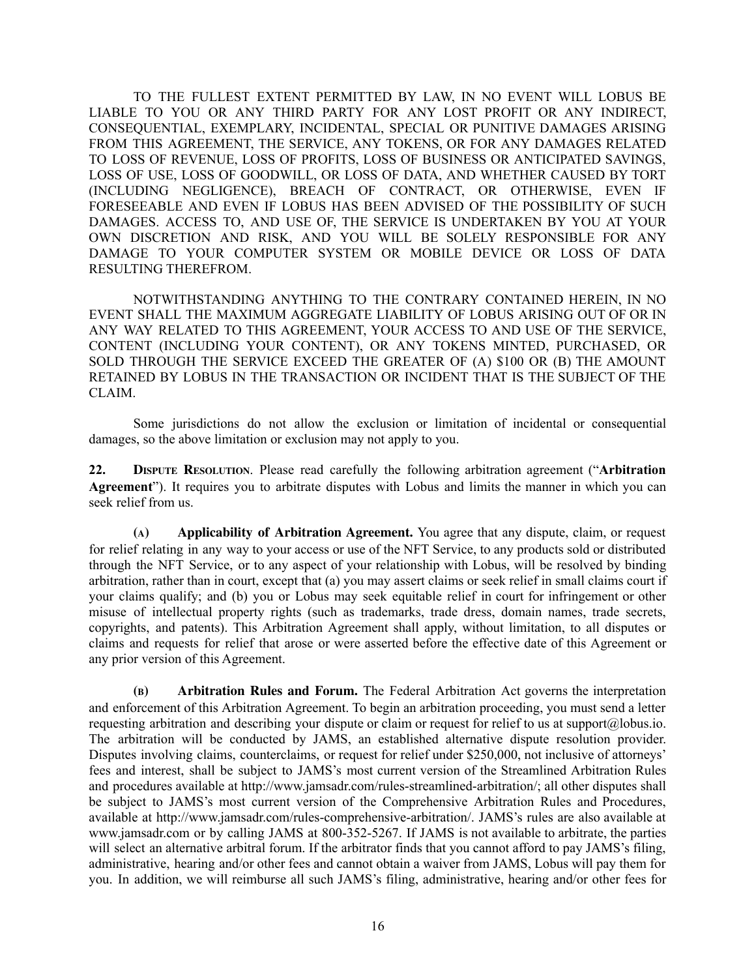TO THE FULLEST EXTENT PERMITTED BY LAW, IN NO EVENT WILL LOBUS BE LIABLE TO YOU OR ANY THIRD PARTY FOR ANY LOST PROFIT OR ANY INDIRECT, CONSEQUENTIAL, EXEMPLARY, INCIDENTAL, SPECIAL OR PUNITIVE DAMAGES ARISING FROM THIS AGREEMENT, THE SERVICE, ANY TOKENS, OR FOR ANY DAMAGES RELATED TO LOSS OF REVENUE, LOSS OF PROFITS, LOSS OF BUSINESS OR ANTICIPATED SAVINGS, LOSS OF USE, LOSS OF GOODWILL, OR LOSS OF DATA, AND WHETHER CAUSED BY TORT (INCLUDING NEGLIGENCE), BREACH OF CONTRACT, OR OTHERWISE, EVEN IF FORESEEABLE AND EVEN IF LOBUS HAS BEEN ADVISED OF THE POSSIBILITY OF SUCH DAMAGES. ACCESS TO, AND USE OF, THE SERVICE IS UNDERTAKEN BY YOU AT YOUR OWN DISCRETION AND RISK, AND YOU WILL BE SOLELY RESPONSIBLE FOR ANY DAMAGE TO YOUR COMPUTER SYSTEM OR MOBILE DEVICE OR LOSS OF DATA RESULTING THEREFROM.

NOTWITHSTANDING ANYTHING TO THE CONTRARY CONTAINED HEREIN, IN NO EVENT SHALL THE MAXIMUM AGGREGATE LIABILITY OF LOBUS ARISING OUT OF OR IN ANY WAY RELATED TO THIS AGREEMENT, YOUR ACCESS TO AND USE OF THE SERVICE, CONTENT (INCLUDING YOUR CONTENT), OR ANY TOKENS MINTED, PURCHASED, OR SOLD THROUGH THE SERVICE EXCEED THE GREATER OF (A) \$100 OR (B) THE AMOUNT RETAINED BY LOBUS IN THE TRANSACTION OR INCIDENT THAT IS THE SUBJECT OF THE CLAIM.

Some jurisdictions do not allow the exclusion or limitation of incidental or consequential damages, so the above limitation or exclusion may not apply to you.

**22. DISPUTE RESOLUTION**. Please read carefully the following arbitration agreement ("**Arbitration Agreement**"). It requires you to arbitrate disputes with Lobus and limits the manner in which you can seek relief from us.

**(A) Applicability of Arbitration Agreement.** You agree that any dispute, claim, or request for relief relating in any way to your access or use of the NFT Service, to any products sold or distributed through the NFT Service, or to any aspect of your relationship with Lobus, will be resolved by binding arbitration, rather than in court, except that (a) you may assert claims or seek relief in small claims court if your claims qualify; and (b) you or Lobus may seek equitable relief in court for infringement or other misuse of intellectual property rights (such as trademarks, trade dress, domain names, trade secrets, copyrights, and patents). This Arbitration Agreement shall apply, without limitation, to all disputes or claims and requests for relief that arose or were asserted before the effective date of this Agreement or any prior version of this Agreement.

**(B) Arbitration Rules and Forum.** The Federal Arbitration Act governs the interpretation and enforcement of this Arbitration Agreement. To begin an arbitration proceeding, you must send a letter requesting arbitration and describing your dispute or claim or request for relief to us at support@lobus.io. The arbitration will be conducted by JAMS, an established alternative dispute resolution provider. Disputes involving claims, counterclaims, or request for relief under \$250,000, not inclusive of attorneys' fees and interest, shall be subject to JAMS's most current version of the Streamlined Arbitration Rules and procedures available at http://www.jamsadr.com/rules-streamlined-arbitration/; all other disputes shall be subject to JAMS's most current version of the Comprehensive Arbitration Rules and Procedures, available at http://www.jamsadr.com/rules-comprehensive-arbitration/. JAMS's rules are also available at www.jamsadr.com or by calling JAMS at 800-352-5267. If JAMS is not available to arbitrate, the parties will select an alternative arbitral forum. If the arbitrator finds that you cannot afford to pay JAMS's filing, administrative, hearing and/or other fees and cannot obtain a waiver from JAMS, Lobus will pay them for you. In addition, we will reimburse all such JAMS's filing, administrative, hearing and/or other fees for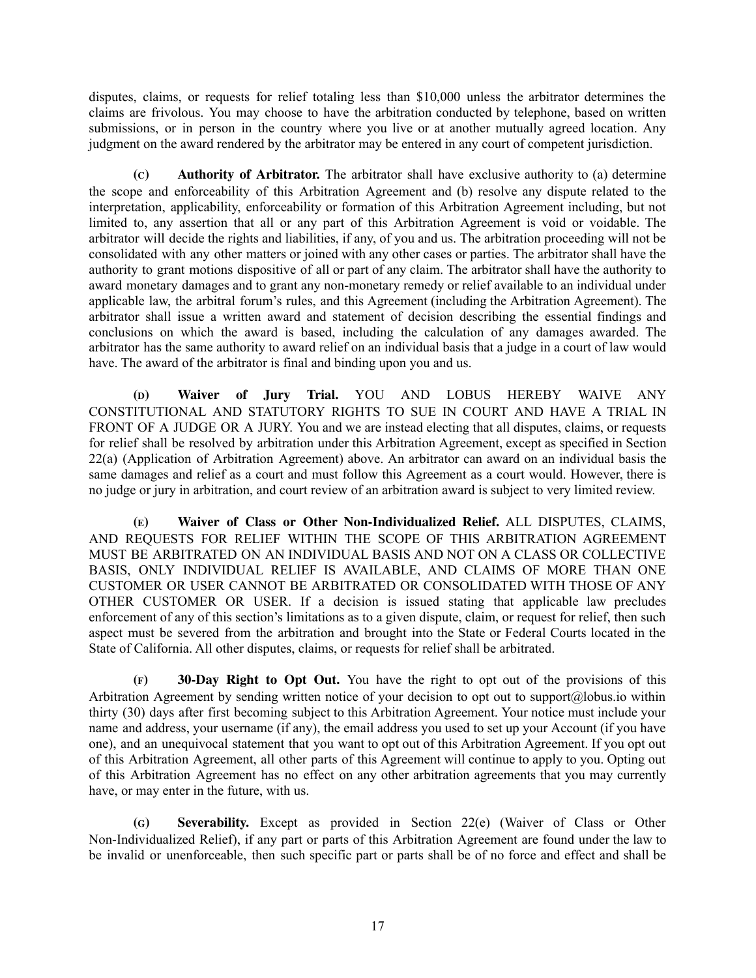disputes, claims, or requests for relief totaling less than \$10,000 unless the arbitrator determines the claims are frivolous. You may choose to have the arbitration conducted by telephone, based on written submissions, or in person in the country where you live or at another mutually agreed location. Any judgment on the award rendered by the arbitrator may be entered in any court of competent jurisdiction.

**(C) Authority of Arbitrator.** The arbitrator shall have exclusive authority to (a) determine the scope and enforceability of this Arbitration Agreement and (b) resolve any dispute related to the interpretation, applicability, enforceability or formation of this Arbitration Agreement including, but not limited to, any assertion that all or any part of this Arbitration Agreement is void or voidable. The arbitrator will decide the rights and liabilities, if any, of you and us. The arbitration proceeding will not be consolidated with any other matters or joined with any other cases or parties. The arbitrator shall have the authority to grant motions dispositive of all or part of any claim. The arbitrator shall have the authority to award monetary damages and to grant any non-monetary remedy or relief available to an individual under applicable law, the arbitral forum's rules, and this Agreement (including the Arbitration Agreement). The arbitrator shall issue a written award and statement of decision describing the essential findings and conclusions on which the award is based, including the calculation of any damages awarded. The arbitrator has the same authority to award relief on an individual basis that a judge in a court of law would have. The award of the arbitrator is final and binding upon you and us.

**(D) Waiver of Jury Trial.** YOU AND LOBUS HEREBY WAIVE ANY CONSTITUTIONAL AND STATUTORY RIGHTS TO SUE IN COURT AND HAVE A TRIAL IN FRONT OF A JUDGE OR A JURY. You and we are instead electing that all disputes, claims, or requests for relief shall be resolved by arbitration under this Arbitration Agreement, except as specified in Section 22(a) (Application of Arbitration Agreement) above. An arbitrator can award on an individual basis the same damages and relief as a court and must follow this Agreement as a court would. However, there is no judge or jury in arbitration, and court review of an arbitration award is subject to very limited review.

**(E) Waiver of Class or Other Non-Individualized Relief.** ALL DISPUTES, CLAIMS, AND REQUESTS FOR RELIEF WITHIN THE SCOPE OF THIS ARBITRATION AGREEMENT MUST BE ARBITRATED ON AN INDIVIDUAL BASIS AND NOT ON A CLASS OR COLLECTIVE BASIS, ONLY INDIVIDUAL RELIEF IS AVAILABLE, AND CLAIMS OF MORE THAN ONE CUSTOMER OR USER CANNOT BE ARBITRATED OR CONSOLIDATED WITH THOSE OF ANY OTHER CUSTOMER OR USER. If a decision is issued stating that applicable law precludes enforcement of any of this section's limitations as to a given dispute, claim, or request for relief, then such aspect must be severed from the arbitration and brought into the State or Federal Courts located in the State of California. All other disputes, claims, or requests for relief shall be arbitrated.

**(F) 30-Day Right to Opt Out.** You have the right to opt out of the provisions of this Arbitration Agreement by sending written notice of your decision to opt out to support@lobus.io within thirty (30) days after first becoming subject to this Arbitration Agreement. Your notice must include your name and address, your username (if any), the email address you used to set up your Account (if you have one), and an unequivocal statement that you want to opt out of this Arbitration Agreement. If you opt out of this Arbitration Agreement, all other parts of this Agreement will continue to apply to you. Opting out of this Arbitration Agreement has no effect on any other arbitration agreements that you may currently have, or may enter in the future, with us.

**(G) Severability.** Except as provided in Section 22(e) (Waiver of Class or Other Non-Individualized Relief), if any part or parts of this Arbitration Agreement are found under the law to be invalid or unenforceable, then such specific part or parts shall be of no force and effect and shall be